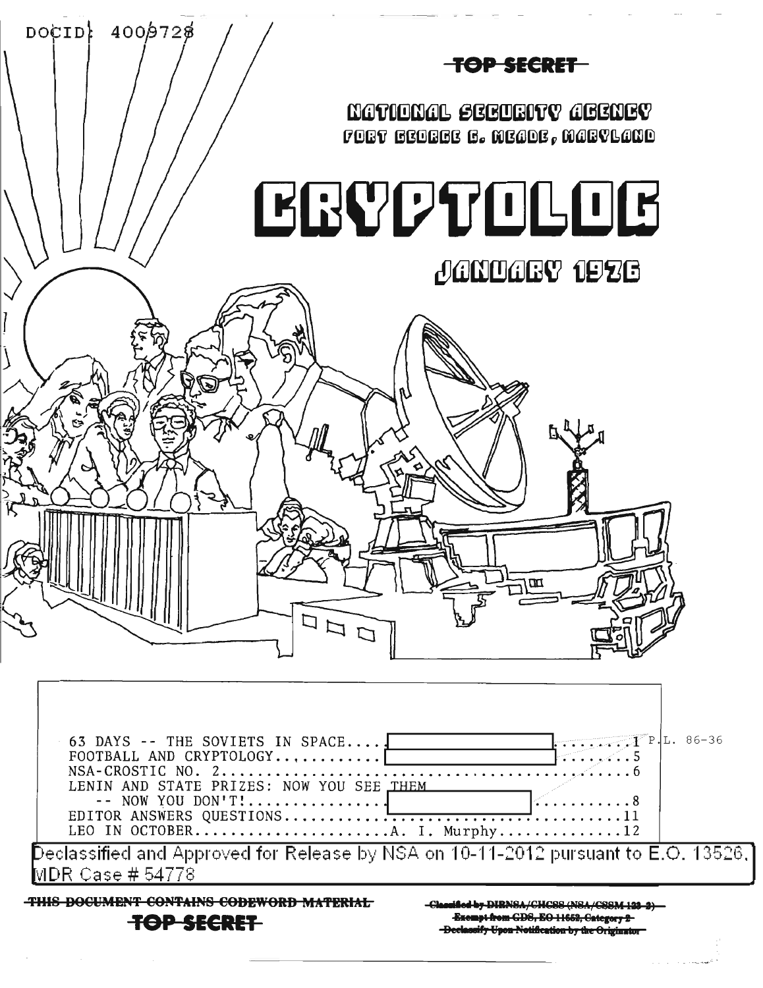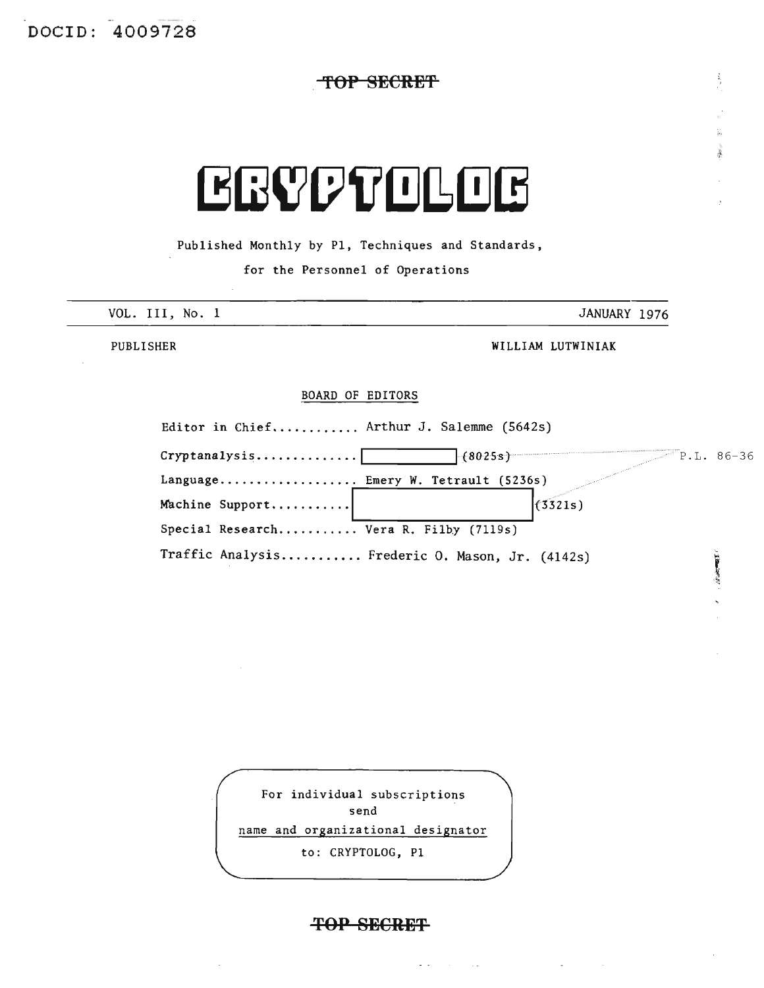**TOP SECRET**

# **EGYPTOLOG**

Published Monthly by PI, Techniques and Standards,

for the Personnel of Operations

| VOL. III, No. 1<br>JANUARY 1976 |  |
|---------------------------------|--|

 $\frac{1}{2}$ 

 $\frac{\partial}{\partial x}$  $\frac{1}{2}$ 

 $\ddot{\phantom{0}}$ 

PUBLISHER

WILLIAM LUTWINIAK

## BOARD OF EDITORS

| Editor in Chief Arthur J. Salemme (5642s) |                                                 |  |
|-------------------------------------------|-------------------------------------------------|--|
| Crypt analysis                            | $+(8025s)$<br>$P.L. 86-36$                      |  |
| Language Emery W. Tetrault (5236s)        |                                                 |  |
| Machine Support                           | (3321s)                                         |  |
| Special Research Vera R. Filby (7119s)    |                                                 |  |
|                                           | Traffic Analysis Frederic O. Mason, Jr. (4142s) |  |

| For individual subscriptions       |  |
|------------------------------------|--|
| send                               |  |
| name and organizational designator |  |
| to: CRYPTOLOG, P1                  |  |
|                                    |  |

## **TOP SECRET**

 $\frac{1}{2} \left( \frac{1}{2} \right)$  ,  $\frac{1}{2} \left( \frac{1}{2} \right)$  ,  $\frac{1}{2} \left( \frac{1}{2} \right)$  ,  $\frac{1}{2} \left( \frac{1}{2} \right)$ 

 $\mathcal{L}^{\mathcal{L}}(\mathbf{z})$  and  $\mathcal{L}^{\mathcal{L}}(\mathbf{z})$  and  $\mathcal{L}^{\mathcal{L}}(\mathbf{z})$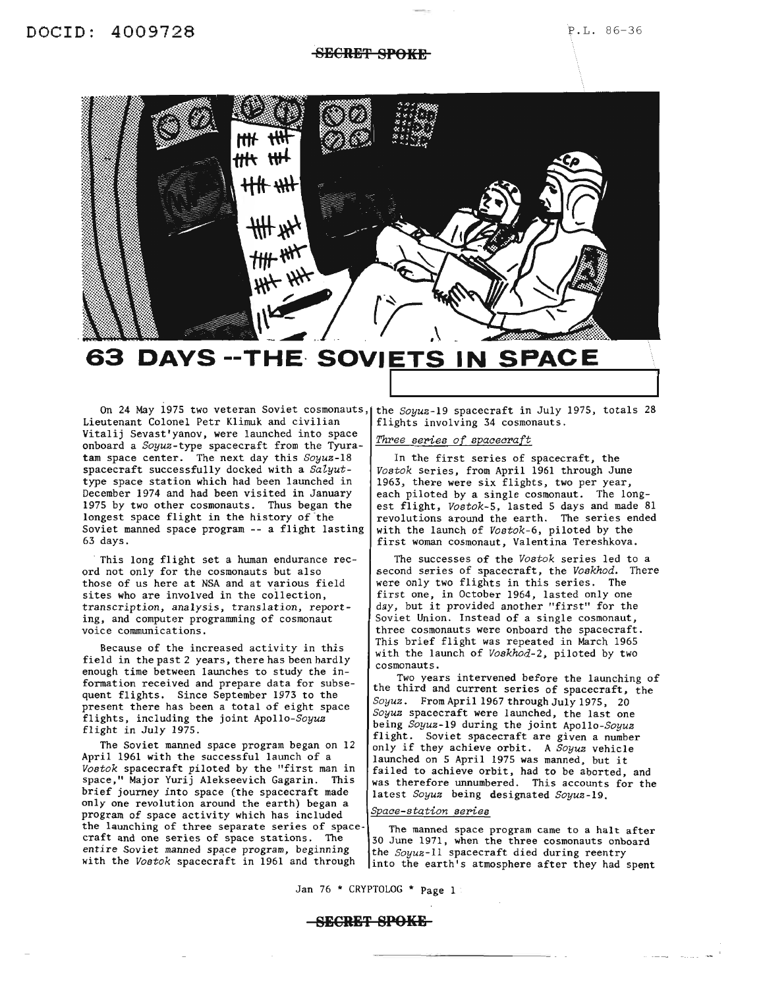## **8ECRET SPOKE**

![](_page_2_Picture_3.jpeg)

63 DAYS -- THE SOVIETS IN SPACE

Lieutenant Colonel Petr Klimuk and civilian Vitalij Sevast'yanov, were launched into space onboard a *Soyuz-type* spacecraft from the Tyuratam space center. The next day this *Soyuz-18* spacecraft successfully docked with a  $Salyut$ type space station which had been launched in December 1974 and had been visited in January 1975 by two other cosmonauts. Thus began the longest space flight in the history of the Soviet manned space program -- a flight lasting 63 days.

This long flight set a human endurance record not only for the cosmonauts but also those of us here at NSA and at various field sites who are involved in the collection, transcription, analysis, translation, reporting, and computer programming of cosmonaut voice communications.

Because of the increased activity in this field in the past 2 years, there has been hardly enough time between launches to study the information received and prepare data for subsequent flights. Since September 1973 to the present there has been a total of eight space flights, including the joint *Apollo-Soyuz* flight in July 1975.

The Soviet manned space program began on 12 April 1961 with the successful launch of a *Vostok* spacecraft piloted by the "first man in space," Major Yurij Alekseevich Gagarin. This brief journey into space (the spacecraft made only one revolution around the earth) began a program of space activity which has included the launching of three separate series of spacecraft and one series of space stations. The entire Soviet manned space program, beginning with the *Vostok* spacecraft in 1961 and through

On 24 May 1975 two veteran Soviet cosmonauts, the *Soyuz-*19 spacecraft in July 1975, totals 28 flights involving 34 cosmonauts.

## *Three series of spacecraft*

In the first series of spacecraft, the *Vostok* series, from April 1961 through June 1963, there were six flights, two per year, each piloted by a single cosmonaut. The longest flight, *Vostok-5,* lasted 5 days and made 81 revolutions around the earth. The series ended with the launch of *Vostok-6,* piloted by the first woman cosmonaut, Valentina Tereshkova.

The successes of the *Vostok* series led to a second series of spacecraft, the *Voskhod.* There were only two flights in this series. The first one, in October 1964, lasted only one day, but it provided another "first" for the Soviet Union. Instead of a single cosmonaut, three cosmonauts were onboard the spacecraft. This brief flight was repeated in March 1965 with the launch of *Voskhod-2,* piloted by two cosmonauts.

Two years intervened before the launching of the third and current series of spacecraft, the *Soyuz.* From April 1967 through July 1975, 20 *Soyuz* spacecraft were launched, the last one being *Soyuz-19* during the joint *Apollo-Soyuz* flight. Soviet spacecraft are given a number only if they achieve orbit. <sup>A</sup> *Soyuz* vehicle launched on <sup>5</sup> April <sup>1975</sup> was manned, but it failed to achieve orbit, had to be aborted, and was therefore unnumbered. This accounts for the latest *Soyuz* being designated *Soyuz-19.*

## *space-station series*

The manned space program came to a halt after 30 June 1971, when the three cosmonauts onboard the *Soyuz-II* spacecraft died during reentry into the earth's atmosphere after they had spent

Jan 76 \* CRYPTOLOG \* Page 1

## **-SECRET SPOKE-**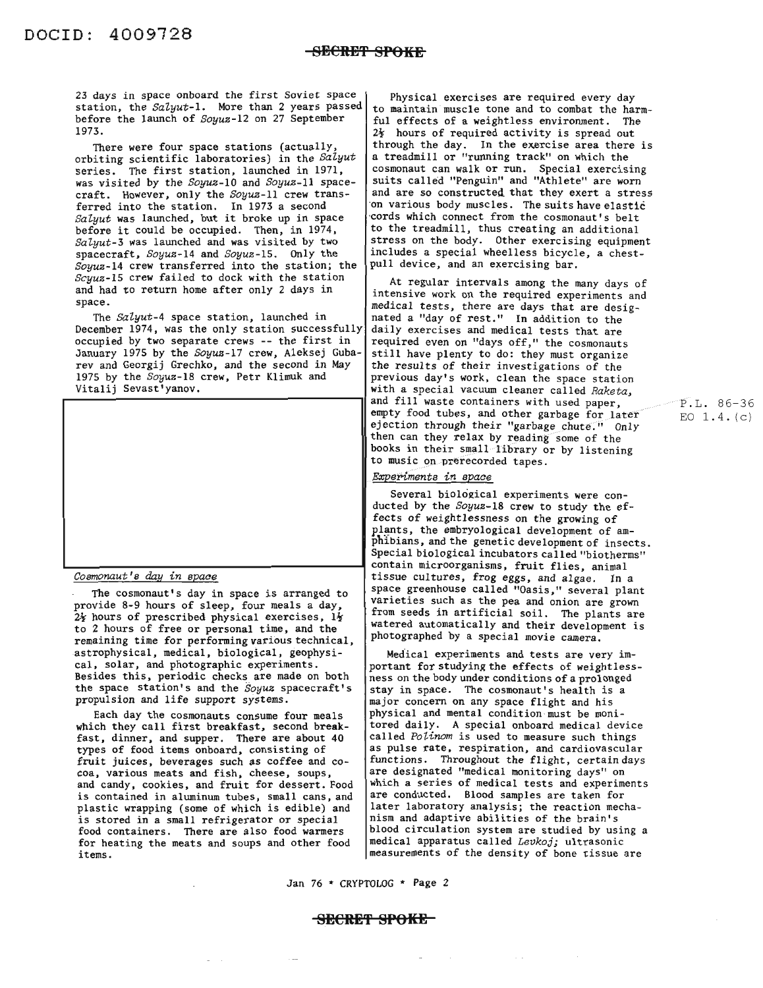23 days in space onboard the first Soviet space station, the *SaZyut-l.* More than 2 years passed before the launch of *Soyuz-12* on 27 September 1973.

There were four space stations (actually orbiting scientific laboratories) in the Salyut series. The first station, launched in 1971, was visited by the *Soyuz-lO* and *Soyuz-II* spacecraft. However, only the *Soyuz-II* crew transferred into the station. In 1973 a second *SaZyut* was launched, but it broke up in space before it could be occupied. Then, in 1974, *SaZyut-3* was launched and was visited by two spacecraft, *Soyuz-14* and *Soyuz-IS.* Only the *Soyuz-14* crew transferred into the station; the *Scyuz-15* crew failed to dock with the station and had to return home after only 2 days in space.

The *SaZyut-4* space station, launched in December 1974, was the only station successfully occupied by two separate crews -- the first in January 1975 by the *Soyuz-17* crew, Aleksej Gubarev and Georgij Grechko, and the second in May 1975 by the *Soyuz-18* crew, Petr Klimuk and Vitalij Sevast'yanov.

![](_page_3_Picture_5.jpeg)

*Cosmonaut's day in space*

The cosmonaut's day in space is arranged to provide 8-9 hours of sleep, four meals a day,  $2$  hours of prescribed physical exercises,  $1\frac{1}{2}$ to 2 hours of free or personal time, and the remaining time for performing various technical, astrophysical, medical, biological, geophysical, solar, and photographic experiments. Besides this, periodic checks are made on both the space station's and the *Soyuz* spacecraft's propulsion and life support systems.

Each day the cosmonauts consume four meals which they call first breakfast, second breakfast, dinner, and supper. There are about 40 types of food items onboard, consisting of fruit juices, beverages such as coffee and co- coa, various meats and fish, cheese, soups, and candy, cookies, and fruit for dessert. Food is contained in aluminum tubes, small cans, and plastic wrapping (some of which is edible) and is stored in a small refrigerator or special food containers. There are also food warmers for heating the meats and soups and other food items.

Physical exercises are required every day to maintain muscle tone and to combat the harmful effects of a weightless environment. The  $2\frac{1}{2}$  hours of required activity is spread out through the day. In the exercise area there is a treadmill or "running track" on which the cosmonaut can walk or run. Special exercising suits called "Penguin" and "Athlete" are worn and are so constructed that they exert a stress on various body muscles. The suits have elastic cords which connect from the cosmonaut's belt to the treadmill, thus creating an additional stress on the body. Other exercising equipment includes a special wheelless bicycle, a chestpull device, and an exercising bar.

At regular intervals among the many days of intensive work on the required experiments and medical tests, there are days that are designated a "day of rest." In addition to the daily exercises and medical tests that are required even on "days off," the cosmonauts<br>still have plenty to do: they must organize the results of their investigations of the previous day's work, clean the space station with a special vacuum cleaner called Raketa, and fill waste containers with used paper, empty food tubes, and other garbage for later ejection through their "garbage chute." Only then can they relax by reading some of the books in their small library or by listening to music on prerecorded tapes.

P.L. 86-36 EO  $1.4. (c)$ 

### Experiments in space

Several biological experiments were conducted by the Soyuz-18 crew to study the effects of weightlessness on the growing of plants, the embryological development of amphibians, and the genetic development of insects. Special biological incubators called "biotherms" contain microorganisms, fruit flies, animal tissue cultures, frog eggs, and algae. In a space greenhouse called "Oasis," several plant varieties such as the pea and onion are grown from seeds in artificial soil. The plants are watered automatically and their development is photographed by a special movie camera.

Medical experiments and tests are very important for studying the effects of weightlessness on the body under conditions of a prolonged stay in space. The cosmonaut's health is a major concern on any space flight and his physical and mental condition must be monitored daily. A special onboard medical device called Polinom is used to measure such things as pulse rate, respiration, and cardiovascular functions. Throughout the flight, certain days are designated "medical monitoring days" on which a series of medical tests and experiments are conducted. Blood samples are taken for later laboratory analysis; the reaction mechanism and adaptive abilities of the brain's blood circulation system are studied by using a medical apparatus called Levkoj; ultrasonic measurements of the density of bone tissue are

Jan 76 \* CRYPTOLOG \* Page 2

## SECRE~ **SPOKE**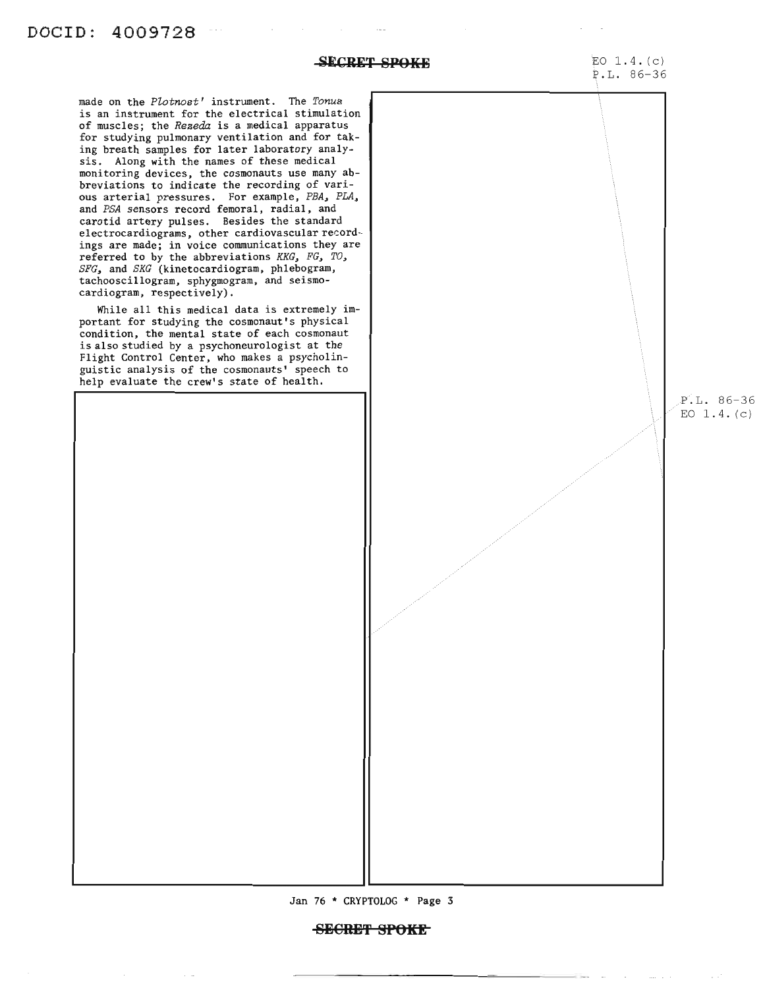## **SECRET SPOKE** EO 1.4. (c)

P.L. 86-36

made on the *Plotnost'* instrument. The *Tonus* is an instrument for the electrical stimulation of muscles; the *Rezeda* is a medical apparatus for studying pulmonary ventilation and for taking breath samples for later laboratory analysis. Along with the names of these medical monitoring devices, the cosmonauts use many abbreviations to indicate the recording of various arterial pressures. For example, *PBA, PLA,* and *PSA* sensors record femoral, radial, and carotid artery pulses. Besides the standard electrocardiograms, other cardiovascular recordings are made; in voice communications they are referred to by the abbreviations *KKG, FG, TO, SFG,* and *SKG* (kinetocardiogram, phlebogram, tachooscillogram, sphygmogram, and seismocardiogram, respectively).

While all this medical data is extremely important for studying the cosmonaut's physical condition, the mental state of each cosmonaut is also studied by a psychoneurologist at the Flight Control Center, who makes a psycholinguistic analysis of the cosmonauts' speech to help evaluate the crew's state of health.

> P.L. 86-36 EO  $1.4. (c)$

![](_page_4_Figure_6.jpeg)

## **8B€RH'f SPOKE**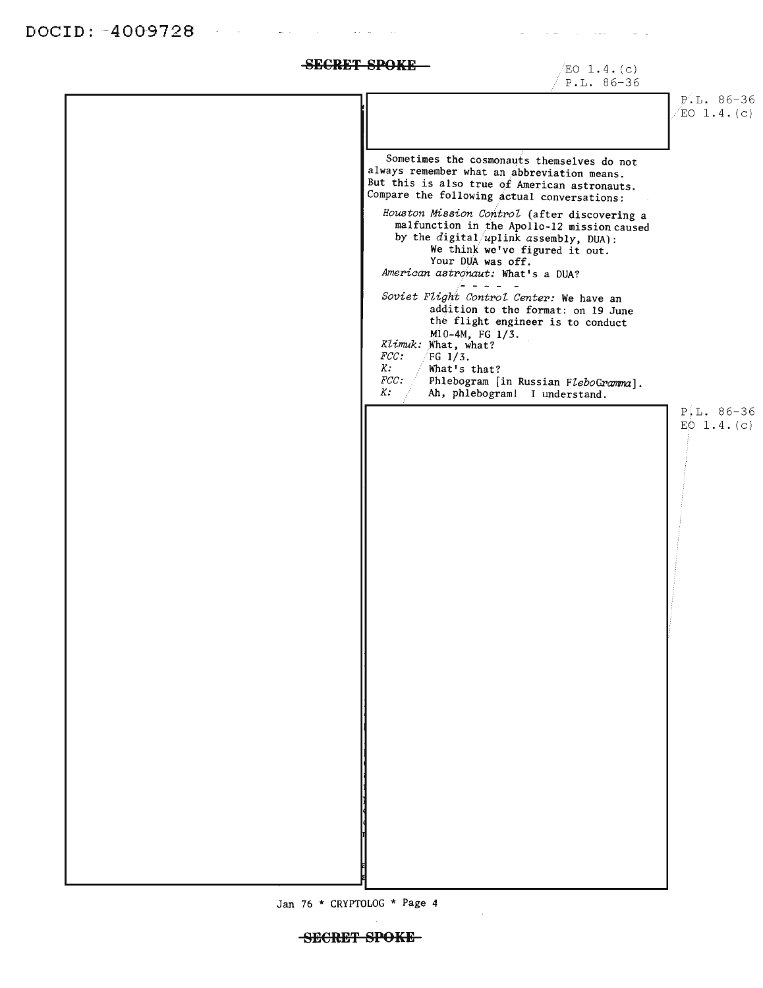$\sim 10^{11}$  m  $^{-1}$ 

**SECRET SPOKE**  $/EO 1.4. (c)$ 

P.L. 86-36

P. L. 86-36  $EO$  1.4. (c)

Sometimes the cosmonauts themselves do not always remember what an abbreviation means. But this is also true of American astronauts. Compare the following actual conversations: *Houston Mission Control* (after discovering a malfunction in the Apollo-12 mission caused by the  $digital/uplink$  assembly, DUA): We think we've figured it out. Your DUA was off. *American astronaut:* What's a OUA? 4444  $\overline{\phantom{a}}$ *Soviet Flight Control Center:* We have an addition to the format: on 19 June the flight engineer is to conduct M10-4M, FG 1/3. Klimuk: What, what?  $FG$  1/3. *FCC: K:* What's that? *FCC:* Phlebogram [in Russian *FZeboGPamma]. K:* Ah, phlebogram! I understand.  $P L. 86-36$ EO  $1.4.(c)$ 

Jan 76 \* CRYPTOLOG \* Page 4

## SECRET SPOKE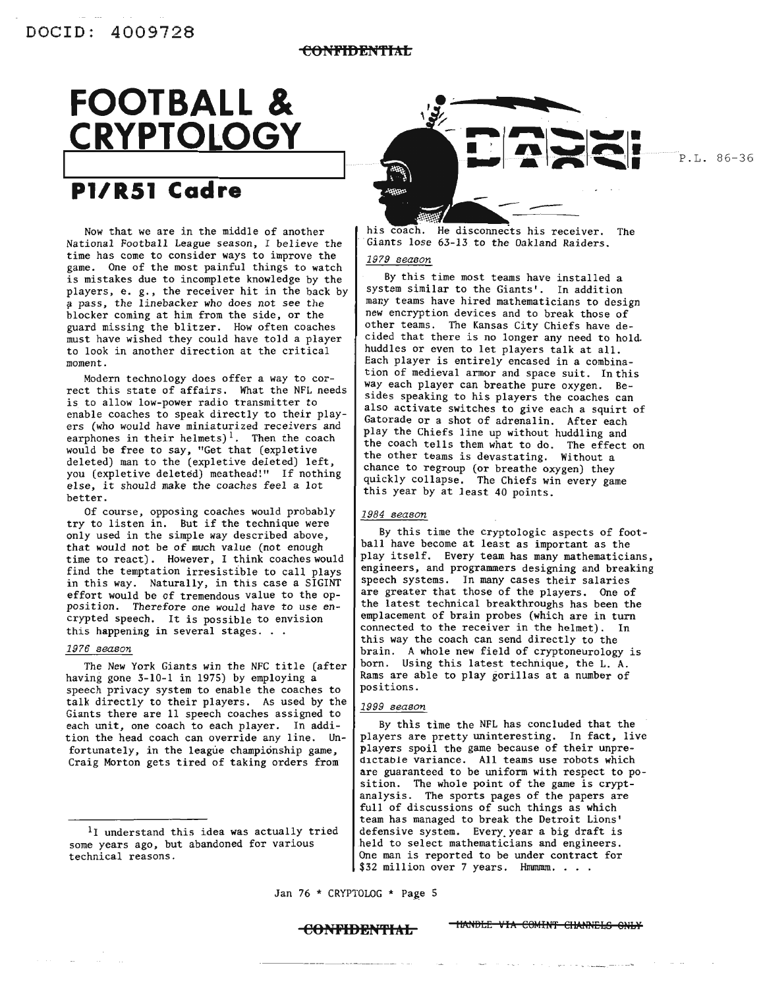## **FOOTBALL & CRYPTOLOGY** <sup>1</sup>'--- -----=----

## **Pl/R51 Cadre**

Now that we are in the middle of another National Football League season, I believe the time has come to consider ways to improve the game. One of the most painful things to watch is mistakes due to incomplete knowledge by the players, e. g., the receiver hit in the back by pass, the linebacker who does not see the blocker coming at him from the side, or the guard missing the blitzer. How often coaches must have wished they could have told a player to look in another direction at the critical moment.

Modern technology does offer a way to correct this state of affairs. What the NFL needs is to allow low-power radio transmitter to enable coaches to speak directly to their players (who would have miniaturized receivers and earphones in their helmets)<sup>1</sup>. Then the coach would be free to say, "Get that (expletive deleted) man to the (expletive deleted) left, you (expletive deleted) meathead!" If nothing else, it should make the coaches feel <sup>a</sup> lot better.

Of course, opposing coaches would probably try to listen in. But if the technique were only used in the simple way described above, that would not be of much value (not enough time to react). However, I think coaches would find the temptation irresistible to call plays in this way. Naturally, in this case a SIGINT effort would be of tremendous value to the opposition. Therefore one would have to use encrypted speech. It is possible to envision this happening in several stages. . .

### *1976 season*

The New York Giants win the NFC title (after having gone 3-10-1 in 1975) by employing a speech privacy system to enable the coaches to talk directly to their players. As used by the Giants there are 11 speech coaches assigned to each unit, one coach to each player. In addition the head coach can override any line. Unfortunately, in the league championship game, Craig Morton gets tired of taking orders from

![](_page_6_Picture_10.jpeg)

P.L. 86-36

his coach. He disconnects his receiver. The Giants lose 63-13 to the Oakland Raiders.

## *1979 season*

By this time most teams have installed a system similar to the Giants'. In addition many teams have hired mathematicians to design new encryption devices and to break those of other teams. The Kansas City Chiefs have decided that there is no longer any need to hold. huddles or even to let players talk at all. Each player is entirely encased in a combination of medieval armor and space suit. In this way each player can breathe pure oxygen. Besides speaking to his players the coaches can also activate switches to give each a squirt of Gatorade or a shot of adrenalin. After each play the Chiefs line up without huddling and the coach tells them what to do. The effect on the other teams is devastating. Without a chance to regroup (or breathe oxygen) they quickly collapse. The Chiefs win every game this year by at least 40 points.

## *1984 season*

By this time the cryptologic aspects of football have become at least as important as the play itself. Every team has many mathematicians, engineers, and programmers designing and breaking speech systems. In many cases their salaries are greater that those of the players. One of the latest technical breakthroughs has been the emplacement of brain probes (which are in turn connected to the receiver in the helmet). In this way the coach can send directly to the brain. A whole new field of cryptoneurology is born. Using this latest technique, the L. A. Rams are able to play gorillas at a number of positions.

## *1999 season*

By this time the NFL has concluded that the players are pretty uninteresting. In fact, live players spoil the game because of their unpredictable variance. All teams use robots which are guaranteed to be uniform with respect to position. The whole point of the game is cryptanalysis. The sports pages of the papers are full of discussions of such things as which team has managed to break the Detroit Lions' defensive system. Every. year a big draft is held to select mathematicians and engineers. One man is reported to be under contract for \$32 million over 7 years. Hmmmm. . . .

Jan 76 \* CRYPTOLOG \* Page 5

**CONFIDENTIAL** TIANDLE VIA COMINT CHANNELS ONLY

<sup>&</sup>lt;sup>1</sup>I understand this idea was actually tried some years ago, but abandoned for various technical reasons.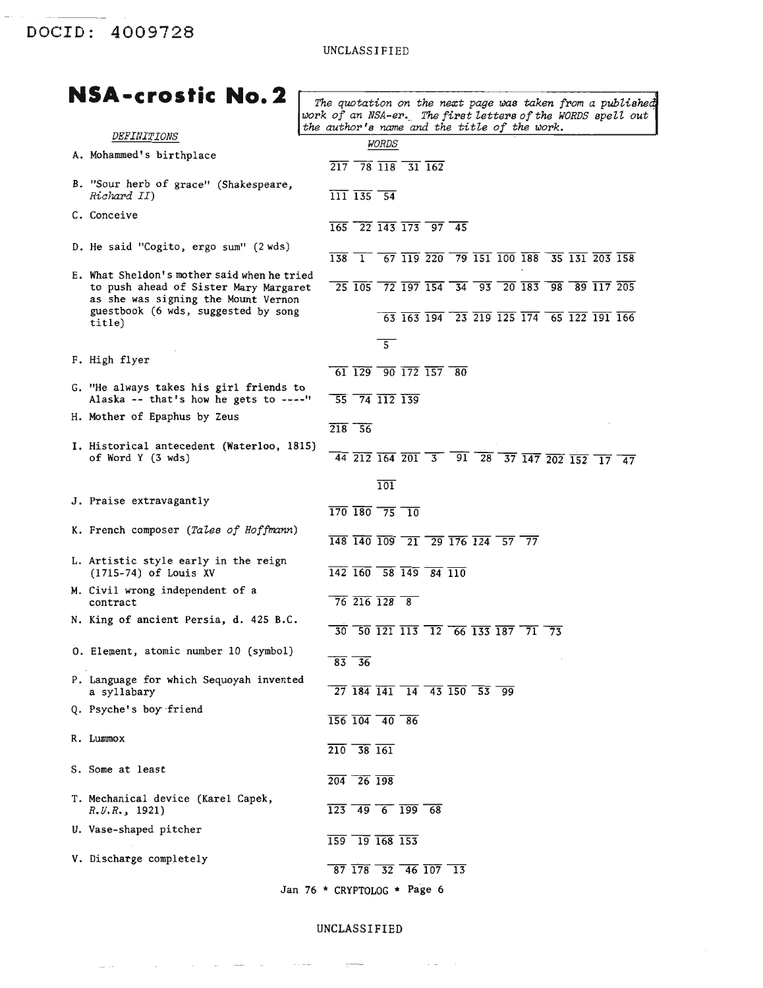DOCID: 4009728

## UNCLASSIFIED

| NSA-crostic No. 2                                                                                                           |                                                                                                                                                                                                                         |
|-----------------------------------------------------------------------------------------------------------------------------|-------------------------------------------------------------------------------------------------------------------------------------------------------------------------------------------------------------------------|
|                                                                                                                             | The quotation on the next page was taken from a published<br>work of an NSA-er. The first letters of the WORDS spell out<br>the author's name and the title of the work.                                                |
| <i>DEFINITIONS</i>                                                                                                          | <i>WORDS</i>                                                                                                                                                                                                            |
| A. Mohammed's birthplace                                                                                                    | $\overline{217}$ 78 $\overline{118}$ 31 $\overline{162}$                                                                                                                                                                |
| B. "Sour herb of grace" (Shakespeare,<br>Richard II)                                                                        | $\overline{111}$ $\overline{135}$ $\overline{54}$                                                                                                                                                                       |
| C. Conceive                                                                                                                 | $\overline{165}$ $\overline{22}$ $\overline{143}$ $\overline{173}$ $\overline{97}$ $\overline{45}$                                                                                                                      |
| D. He said "Cogito, ergo sum" (2 wds)                                                                                       | $\overline{138}$ $\overline{1}$ $\overline{67}$ $\overline{119}$ $\overline{220}$ $\overline{79}$ $\overline{151}$ $\overline{100}$ $\overline{188}$ $\overline{35}$ $\overline{131}$ $\overline{203}$ $\overline{158}$ |
| E. What Sheldon's mother said when he tried<br>to push ahead of Sister Mary Margaret<br>as she was signing the Mount Vernon | $\overline{25}$ $\overline{105}$ $\overline{72}$ $\overline{197}$ $\overline{154}$ $\overline{34}$ $\overline{93}$ $\overline{20}$ $\overline{183}$ $\overline{98}$ $\overline{89}$ $\overline{117}$ $\overline{205}$   |
| guestbook (6 wds, suggested by song<br>title)                                                                               | 63 163 194 23 219 125 174 65 122 191 166                                                                                                                                                                                |
|                                                                                                                             | $\overline{5}$                                                                                                                                                                                                          |
| F. High flyer                                                                                                               | $\overline{61}$ $\overline{129}$ $\overline{90}$ $\overline{172}$ $\overline{157}$ $\overline{80}$                                                                                                                      |
| G. "He always takes his girl friends to<br>Alaska -- that's how he gets to ----"                                            | $\overline{55}$ $\overline{74}$ $\overline{112}$ $\overline{139}$                                                                                                                                                       |
| H. Mother of Epaphus by Zeus                                                                                                | $218 - 56$                                                                                                                                                                                                              |
| I. Historical antecedent (Waterloo, 1815)<br>of Word Y (3 wds)                                                              | $\overline{44}$ $\overline{212}$ $\overline{164}$ $\overline{201}$ $\overline{3}$ $\overline{91}$ $\overline{28}$ $\overline{37}$ $\overline{147}$ $\overline{202}$ $\overline{152}$ $\overline{17}$ $\overline{47}$    |
|                                                                                                                             | $\overline{101}$                                                                                                                                                                                                        |
| J. Praise extravagantly                                                                                                     | $\overline{170}$ $\overline{180}$ $\overline{75}$ $\overline{10}$                                                                                                                                                       |
| K. French composer (Tales of Hoffmann)                                                                                      | $\overline{148}$ $\overline{140}$ $\overline{109}$ $\overline{21}$ $\overline{29}$ $\overline{176}$ $\overline{124}$ $\overline{57}$ $\overline{77}$                                                                    |
| L. Artistic style early in the reign<br>(1715-74) of Louis XV                                                               | $\overline{142}$ $\overline{160}$ 58 $\overline{149}$ 84 $\overline{110}$                                                                                                                                               |
| M. Civil wrong independent of a<br>contract                                                                                 | $\frac{1}{76}$ 216 128 8                                                                                                                                                                                                |
| N. King of ancient Persia, d. 425 B.C.                                                                                      | $\overline{30}$ $\overline{50}$ $\overline{121}$ $\overline{113}$ $\overline{12}$ $\overline{66}$ $\overline{133}$ $\overline{187}$ $\overline{71}$ $\overline{73}$                                                     |
| 0. Element, atomic number 10 (symbol)                                                                                       | $83 - 36$                                                                                                                                                                                                               |
| P. Language for which Sequoyah invented<br>a syllabary                                                                      | $\overline{27}$ 184 141 14 43 150 53 99                                                                                                                                                                                 |
| Q. Psyche's boy friend                                                                                                      | $\overline{156}$ $\overline{104}$ $\overline{40}$ $\overline{86}$                                                                                                                                                       |
| R. Lummox                                                                                                                   | $\overline{210}$ $\overline{38}$ $\overline{161}$                                                                                                                                                                       |
| S. Some at least                                                                                                            | $\overline{204}$ $\overline{26}$ $\overline{198}$                                                                                                                                                                       |
| T. Mechanical device (Karel Capek,<br>R, U, R, 1921                                                                         | $\overline{123}$ $\overline{49}$ $\overline{6}$ $\overline{199}$ $\overline{68}$                                                                                                                                        |
| U. Vase-shaped pitcher                                                                                                      | $\overline{159}$ $\overline{19}$ $\overline{168}$ $\overline{153}$                                                                                                                                                      |
| V. Discharge completely                                                                                                     | $\overline{87}$ $\overline{178}$ $\overline{32}$ $\overline{46}$ $\overline{107}$ $\overline{13}$                                                                                                                       |
|                                                                                                                             | Jan 76 * CRYPTOLOG * Page 6                                                                                                                                                                                             |

UNCLASSIFIED

and the contract of the same state of the contract of the contract of the contract of the contract of the contract of the contract of the contract of the contract of the contract of the contract of the contract of the cont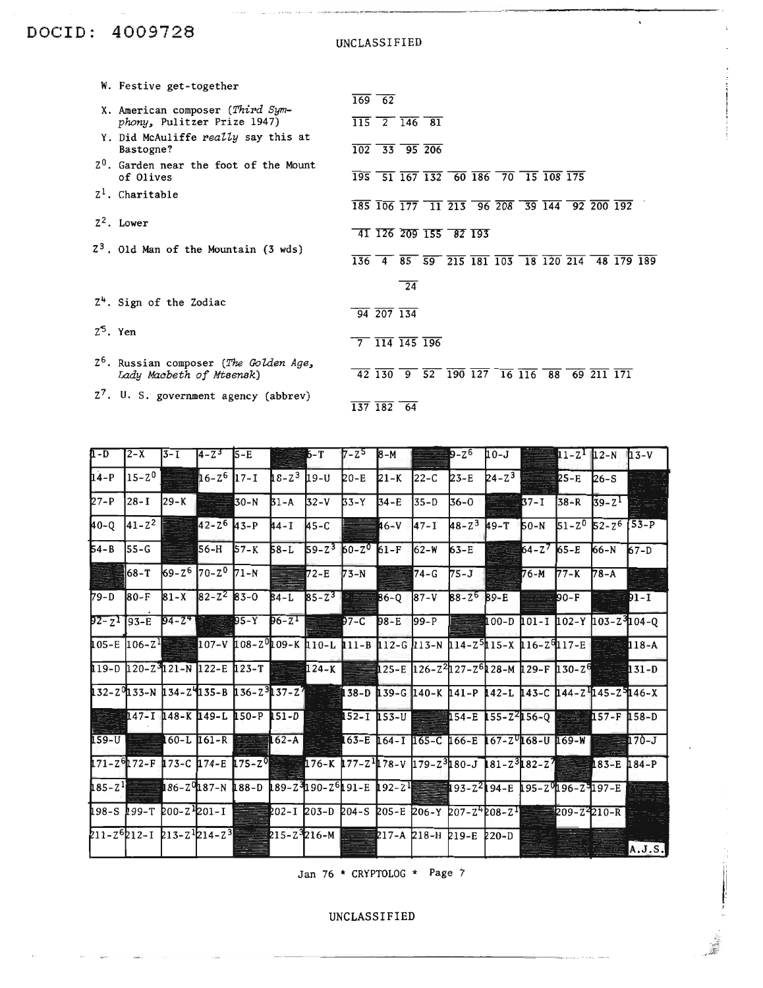## DOCID: 4009728

UNCLASSIFIED

 $\mathbf{v}$ 

| W. Festive get-together                                                        | $\overline{169}$ 62                                              |                 |  |                                                                                                                                                                                                         |  |  |                                                                         |  |
|--------------------------------------------------------------------------------|------------------------------------------------------------------|-----------------|--|---------------------------------------------------------------------------------------------------------------------------------------------------------------------------------------------------------|--|--|-------------------------------------------------------------------------|--|
| X. American composer (Third Sym-<br>phony, Pulitzer Prize 1947)                | $\overline{115}$ $\overline{2}$ $\overline{146}$ $\overline{81}$ |                 |  |                                                                                                                                                                                                         |  |  |                                                                         |  |
| Y. Did McAuliffe really say this at<br>Bastogne?                               | $\overline{102}$ 33 95 206                                       |                 |  |                                                                                                                                                                                                         |  |  |                                                                         |  |
| $Z0$ . Garden near the foot of the Mount<br>of Olives                          |                                                                  |                 |  | $\overline{195}$ 51 $\overline{167}$ $\overline{132}$ 60 $\overline{186}$ 70 $\overline{15}$ $\overline{108}$ $\overline{175}$                                                                          |  |  |                                                                         |  |
| $Z^1$ . Charitable                                                             |                                                                  |                 |  | $\overline{185}$ $\overline{106}$ $\overline{177}$ $\overline{11}$ $\overline{213}$ $\overline{96}$ $\overline{208}$ $\overline{39}$ $\overline{144}$ $\overline{92}$ $\overline{200}$ $\overline{192}$ |  |  |                                                                         |  |
| $Z^2$ . Lower                                                                  | 41 126 209 155 82 193                                            |                 |  |                                                                                                                                                                                                         |  |  |                                                                         |  |
| $23$ . Old Man of the Mountain (3 wds)                                         |                                                                  |                 |  |                                                                                                                                                                                                         |  |  | $\overline{136}$ 4 $\overline{85}$ 59 215 181 103 18 120 214 48 179 189 |  |
|                                                                                |                                                                  | $\overline{24}$ |  |                                                                                                                                                                                                         |  |  |                                                                         |  |
| $Z4$ . Sign of the Zodiac                                                      | $\frac{1}{94}$ $\frac{1}{207}$ $\frac{1}{34}$                    |                 |  |                                                                                                                                                                                                         |  |  |                                                                         |  |
| $2^5$ . Yen                                                                    | $\frac{1}{7}$ $\frac{114}{145}$ $\frac{196}{196}$                |                 |  |                                                                                                                                                                                                         |  |  |                                                                         |  |
| 2 <sup>6</sup> . Russian composer (The Golden Age,<br>Lady Macbeth of Mtsensk) |                                                                  |                 |  | $\overline{42}$ $\overline{130}$ $\overline{9}$ $\overline{52}$ $\overline{190}$ $\overline{127}$ $\overline{16}$ $\overline{116}$ $\overline{88}$ $\overline{69}$ $\overline{211}$ $\overline{171}$    |  |  |                                                                         |  |
| Z <sup>7</sup> . U. S. government agency (abbrev)                              | $\overline{137}$ $\overline{182}$ 64                             |                 |  |                                                                                                                                                                                                         |  |  |                                                                         |  |

| ∏ - D    | 2-X          | 13-I | $14 - 2^{3}$                             | <b>5-E</b>                                                                                                                            |          | 6-T                               | $7 - 2$ 8-M |             |                  | ≣9-Z <sup>6</sup>        |                 |                 |        | $10 - J$ $11 - Z1$ $12 - N$ $13 - V$      |                |
|----------|--------------|------|------------------------------------------|---------------------------------------------------------------------------------------------------------------------------------------|----------|-----------------------------------|-------------|-------------|------------------|--------------------------|-----------------|-----------------|--------|-------------------------------------------|----------------|
| $14-P$   | $15 - 2^0$   |      | $16 - 2^6$ 17-1                          |                                                                                                                                       |          | $18 - 2^3$ $19 - U$               | 20-E        |             | $21-K$ 22-C 23-E |                          | $24 - Z^3$ 25-E |                 |        | $26-S$                                    |                |
| $27-P$   | 28-I         |      | $29 - K$ 30-N                            |                                                                                                                                       | $31 - A$ | $32-V$                            | $33-Y$      | $34-E$      | $135-D$          | $36-0$ $37-1$            |                 |                 |        | $38 - R$ $39 - Z^1$                       |                |
| 40-Q     | $ 41 - Z^2 $ |      | $42 - 2^6$ $43 - P$                      |                                                                                                                                       | 44 - I   | $45-C$                            |             | <b>事6-V</b> | $147 - 1$        | $48 - 2^3$ $49 - T$ 50-N |                 |                 |        | $51 - 2^0$ $52 - 2^6$ $\overline{53 - P}$ |                |
| $54 - B$ | 55-G         |      | $56-H$                                   | $57 - K$                                                                                                                              | 58-L     | $59 - 2^3$ 60-2 <sup>0</sup> 61-F |             |             | $162-W$          | $63-E$                   |                 | $64 - 2^7$ 65-E |        | 66-N                                      | $67-D$         |
|          | 68-T         |      | 69-2 <sup>6</sup> 70-2 <sup>0</sup> 71-N |                                                                                                                                       |          | $72-E$ 73-N                       |             |             | $74-G$           | $75-J$                   |                 | $76 - M$ 77-K   |        | $78 - A$                                  | se est         |
| 79-D     | 80-F         |      |                                          | 81-X 82-2 <sup>2</sup> 83-0 84-L 85-2 <sup>3</sup> 83-2 86-0 87-V 88-2 <sup>6</sup> 89-E                                              |          |                                   |             |             |                  |                          |                 |                 | $90-F$ |                                           | DI-I           |
|          |              |      |                                          | $92 - 2193 - E$ $94 - 24$ $95 - Y$ $96 - 21 = 97 - C$ $98 - E$ $99 - P$ $100 - D$ $101 - I$ $102 - Y$ $103 - Z$ $104 - Q$             |          |                                   |             |             |                  |                          |                 |                 |        |                                           |                |
|          |              |      |                                          | 105-E 106-Z <sup>1</sup> = 107-V 108-Z 109-K 110-L 111-B 112-G 113-N 114-Z 5115-X 116-Z 917-E <b>212-C 118-A</b>                      |          |                                   |             |             |                  |                          |                 |                 |        |                                           |                |
|          |              |      |                                          | 129-D 120-Z <sup>3</sup> 121-N 122-E 123-T 124-K 25-E 126-Z <sup>2</sup> 127-Z <sup>6</sup> 128-M 129-F 130-Z <sup>6</sup> 29-H 131-D |          |                                   |             |             |                  |                          |                 |                 |        |                                           |                |
|          |              |      |                                          | 132-20133-N 134-24135-B 136-2 <sup>3</sup> 137-27 128 138-D 139-G 140-K 141-P 142-L 143-C 144-Z 145-Z 146-X                           |          |                                   |             |             |                  |                          |                 |                 |        |                                           |                |
|          |              |      |                                          | <u> — Н147-Т 148-К 149-Г 150-Р 151-Р — 152-Т 153-Л 153-Л — 155-2456-Q — 157-F 158-D</u>                                               |          |                                   |             |             |                  |                          |                 |                 |        |                                           |                |
| $159-U$  |              |      |                                          | <b>LEGAL COOL 161-R EXECUTE:</b> 162-A <b>COOL 164-1 165-C 166-E 167-Z<sup>0</sup><b>168-U 169-W EXECUTE:</b></b>                     |          |                                   |             |             |                  |                          |                 |                 |        |                                           | $\equiv$ 170-J |
|          |              |      |                                          |                                                                                                                                       |          |                                   |             |             |                  |                          |                 |                 |        |                                           |                |
|          |              |      |                                          | 185-2 <sup>1</sup> 186-29187-N 188-D 189-29190-2 <sup>6</sup> 191-E 192-2 <sup>1</sup> 92-21 93-22194-E 195-29196-29197-E             |          |                                   |             |             |                  |                          |                 |                 |        |                                           |                |
|          |              |      |                                          | 198-S 199-T 200-Z 201-I = 202-I 203-D 204-S 205-E 206-Y 207-Z 208-Z = 209-Z 210-R                                                     |          |                                   |             |             |                  |                          |                 |                 |        |                                           |                |
|          |              |      |                                          | 211-2 <sup>6</sup> 212-1 213-2 <sup>1</sup> 214-2 <sup>3</sup> 2215-2 <sup>3</sup> 216-M 2217-A 218-H 219-E 220-D                     |          |                                   |             |             |                  |                          |                 |                 |        |                                           | A.J.S.         |

Jan 76 \* CRYPTOLOG \* Page 7

UNCLASSIFIED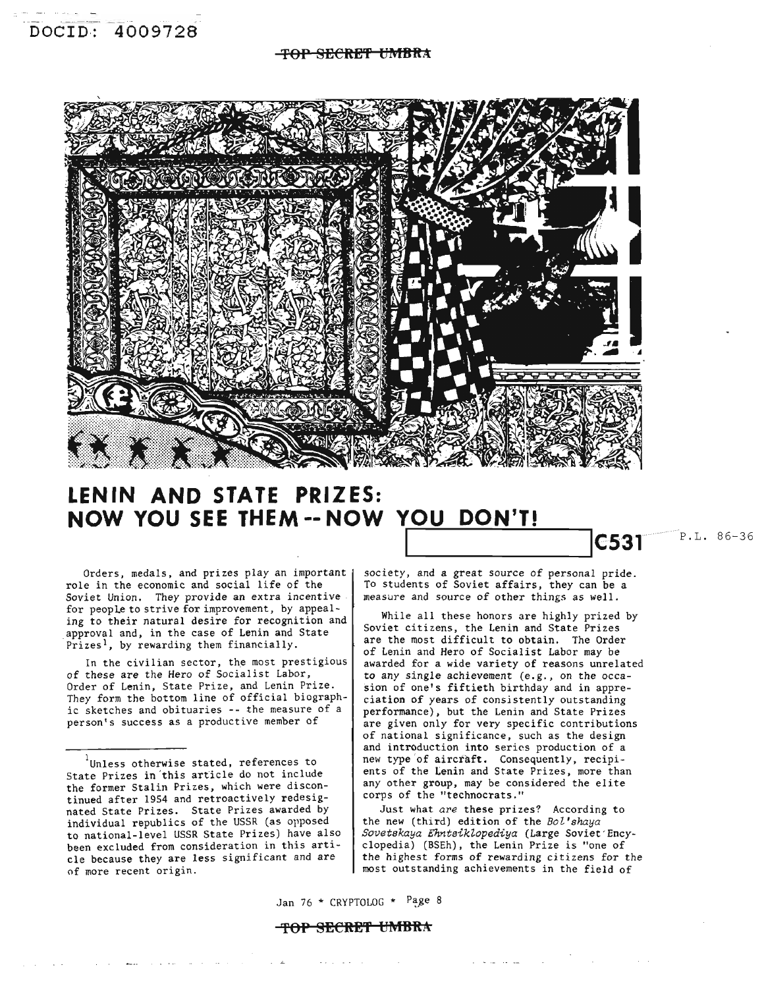## **'fOP SECRE'f f:j1'iIBftA**

![](_page_9_Picture_2.jpeg)

## **LENIN AND STATE PRIZES: NOW YOU SEE THEM -- NOW YOU DON'T!**

Orders, medals, and prizes play an important | role in the economic and social life of the Soviet Union. They provide an extra incentive for people to strive for improvement, by appealing to their natural desire for recognition and approval and, in the case of Lenin and State Prizes<sup>1</sup>, by rewarding them financially.

In the civilian sector, the most prestigious of these are the Hero of Socialist Labor, Order of Lenin, State Prize, and Lenin Prize. They form the bottom line of official biographic sketches and obituaries -- the measure of a person's success as a productive member of

المحاطب المصف

society, and a great source of personal pride. To students of Soviet affairs, they can be a measure and source of other things as well.

**C531** P.L. 86-36

While all these honors are highly prized by Soviet citizens, the Lenin and State Prizes are the most difficult to obtain. The Order of Lenin and Hero of Socialist Labor may be awarded for a wide variety of reasons unrelated to any single achievement (e.g., on the occasion of one's fiftieth birthday and in appreciation of years of consistently outstanding performance), but the Lenin and State Prizes are given only for very specific contributions of national significance, such as the design and introduction into series production of a new type 'of aircraft. Consequently, recipients of the Lenin and State Prizes, more than any other group, may be considered the elite corps of the "technocrats."

Just what *are* these prizes? According to the new (third) edition of the *BoZ'shaya Sovetskaya EhntsikZopediya* (Large Soviet'Encyclopedia) (BSEh), the Lenin Prize is "one of the highest forms of rewarding citizens for the most outstanding achievements in the field of

القوائد القرابات

Jan 76  $*$  CRYPTOLOG  $*$  Page 8

## **'fOP SECRE'f tJ1'iIBftA**

**Service** 

Unless otherwise stated, references to State Prizes in 'this article do not include the former Stalin Prizes, which were discontinued after 1954 and retroactively redesignated State Prizes. State Prizes awarded by individual republics of the USSR (as opposed to national-level USSR State Prizes) have also been excluded from consideration in this article because they are less significant and are of more recent origin.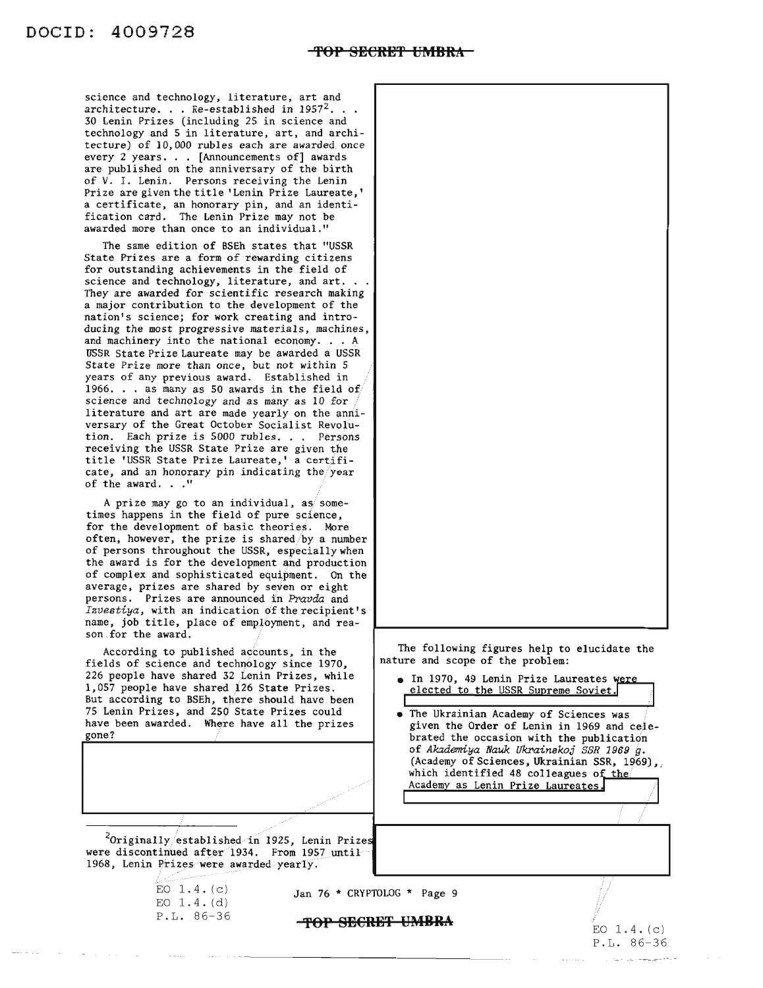science and technology, literature, art and architecture. . . Re-established in  $1957<sup>2</sup>$ . . . 30 Lenin Prizes (including 25 in science and technology and 5 in literature, art, and architecture) of 10,000 rubles each are awarded once every 2 years... [Announcements of] awards are published on the anniversary of the birth of V. I. Lenin. Persons receiving the Lenin Prize are given the title 'Lenin Prize Laureate,' a certificate, an honorary pin, and an identification card. The Lenin Prize may not be awarded more than once to an individual."

The same edition of BSEh states that "USSR State Prizes are a form of rewarding citizens for outstanding achievements in the field of science and technology, literature, and art.. They are awarded for scientific research making a major contribution to the development of the nation's science; for work creating and introducing the most progressive materials, machines,<br>and machinery into the national economy... A USSR State Prize Laureate may be awarded a USSR State Prize more than once, but not within 5 years of any previous award. Established in 1966. . . as many as 50 awards in the field of science and technology and as many as 10 for literature and art are made yearly on the anniversary of the Great October Socialist Revolution. Each prize is 5000 rubles. . . Persons receiving the USSR State Prize are given the title 'USSR State Prize Laureate,' a certificate, and an honorary pin indicating the/year of the award.  $\ldots$ "

A prize may go to an individual, as sometimes happens in the field of pure science, for the development of basic theories. More often, however, the prize is shared/by a number of persons throughout the USSR, especially when the award is for the development and production of complex and sophisticated equipment. On the average, prizes are shared by seven or eight persons. Prizes are announced in *Pravda* and *Izvestiya,* with an indication of the recipient's· name, job title, place of employment, and reason.for the award.

According to published accounts, in the fields of science and technology since 1970, 226 people have shared 32 Lenin Prizes, while 1,057 people have shared 126 State Prizes. But according to BSEh, there should have been 75 Lenin Prizes, and 250 State Prizes could have been awarded. Where have all the prizes gone?

 $2$ Originally/established in 1925, Lenin Prizes were discontinued after 1934. From 1957 until 1968, Lenin Prizes were awarded yearly.

The following figures help to elucidate the nature and scope of the problem:

- In 1970, 49 Lenin Prize Laureates were<br>elected to the USSR Supreme Soviet.
- The Ukrainian Academy of Sciences was given the Order of Lenin in 1969 and celebrated the occasion with the publication of *Akademiya Nauk Ukrainakoj SSR* 1969 *g.* (Academy of Sciences, Ukrainian SSR, 1969), which identified 48 colleagues of the Academy as Lenin Prize Laureates. .//

EO  $1.4. (c)$ EO 1.4. (d) P.L. 86-36

Jan 76 \* CRYPTOLOG \* Page 9

**TOP SEeRBT UMRR!..**

 $EO$  1.4. $(c)$ P.L. 86-36

ji

I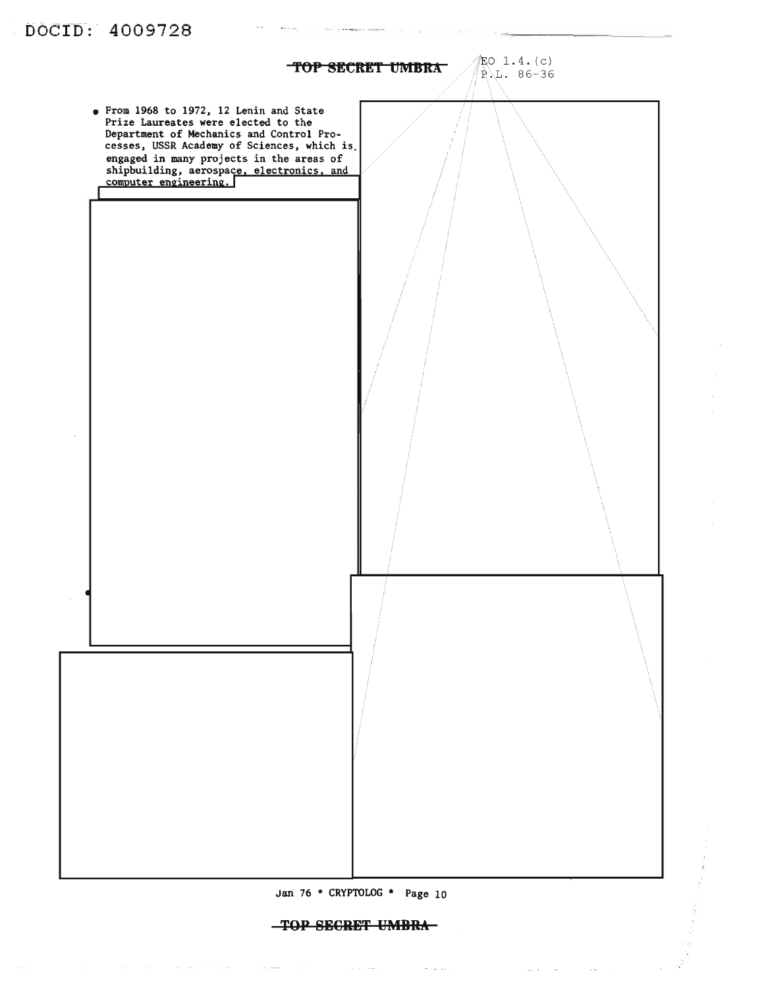![](_page_11_Figure_0.jpeg)

 $\tau$  ,  $\tau$  ,  $\tau$ 

 $\omega_{\rm c}$  and  $\omega_{\rm c}$  .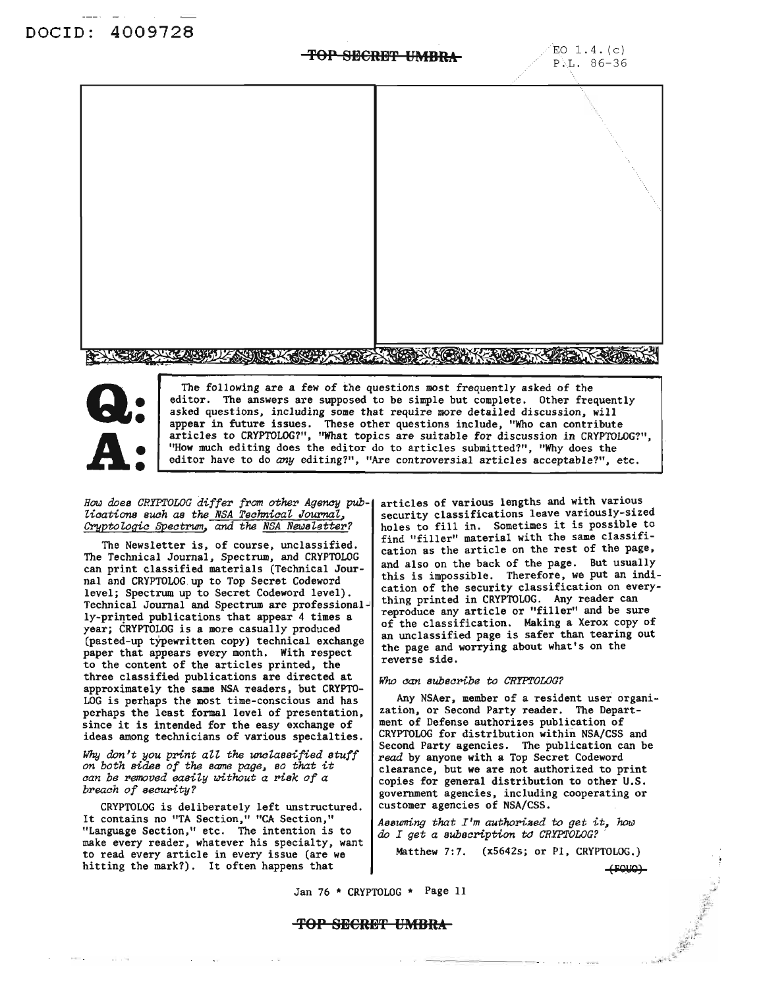## **TOP SECRET IMBRA**  $E_0$  1.4. (c)

![](_page_12_Picture_3.jpeg)

![](_page_12_Picture_4.jpeg)

The following are a few of the questions most frequently asked of the editor. The answers are supposed to be simple but complete. Other frequently asked questions. including some that require more detailed discussion. will appear in future issues. These other questions include. "Who can contribute articles to CRYPTOLOG?", "What topics are suitable for discussion in CRYPTOLOG?", "How much editing does the editor do to articles submitted?". "Why does the editor have to do *any* editing?", "Are controversial articles acceptable?". etc.

### *How does CRYPTOLOG differ from other Agency* pub*lications such as the NSA Teohnical, Journal" Cryptologic Speotrum,* ana *the NSA Newsl,etter?*

The Newsletter is, of course, unclassified. The Technical Journal, Spectrum, and CRYPTOLOG can print classified materials (Technical Journal and CRYPTOLOG up to Top Secret Codeword level; Spectrum up to Secret Codeword level). Technical Journal and Spectrum are professionally-printed publications that appear 4 times a year; CRYPTOLOG is a more casually produced (pasted-up typewritten copy) technical exchange paper that appears *every* month. With respect to the content of the articles printed. the three classified publications are directed at approximately the same NSA readers. but CRYPTO-LOG is perhaps the most time-conscious and has perhaps the least formal level of presentation, since it is intended for the easy exchange of ideas among technicians of various specialties.

*Why don't you print au' the unc1,assified stuff on both sides of the same page, so that it oan be removed easily IlJithout a risk of a breaoh of seourity?*

CRYPTOLOG is deliberately left unstructured. It contains no "TA Section," "CA Section," "Language Section." etc. The intention is to make every reader, whatever his specialty, want to read every article in every issue (are we hitting the mark?). It often happens that

articles of various lengths and with various security classifications leave variously-sized holes to fill in. Sometimes it is possible to find "filler" material with the same classification as the article on the rest of the page, and also on the back of the page. But usually this is impossible. Therefore, we put an indication of the security classification on everything printed in CRYPTOLOG. Any reader can reproduce any article or "filler" and be sure of the classification. Making a Xerox copy of an unclassified page is safer than tearing out the page and worrying about what's on the reverse side.

### *Who oan subsoribe to CRYPTOLOG?*

Any NSAer. member of a resident user organization. or Second Party reader. The Department of Defense authorizes publication of CRYPTOLOG for distribution within NSA/CSS and Second Party agencies. The publication can be read by anyone with a Top Secret Codeword clearance, but we are not authorized to print copies for general distribution to other U.S. government agencies, including cooperating or customer agencies of NSA/CSS.

*Assuming that I'm authoriaed to get* it~ *how do I get a subscription* t<J *CRYPTOLOG? .*

Matthew 7:7. (x5642s; or P1, CRYPTOLOG.) (fQ(JQ~

Jan 76 \* CRYPTOLOG \* Page 11

## **'fOP SH€RH'f UMBRA**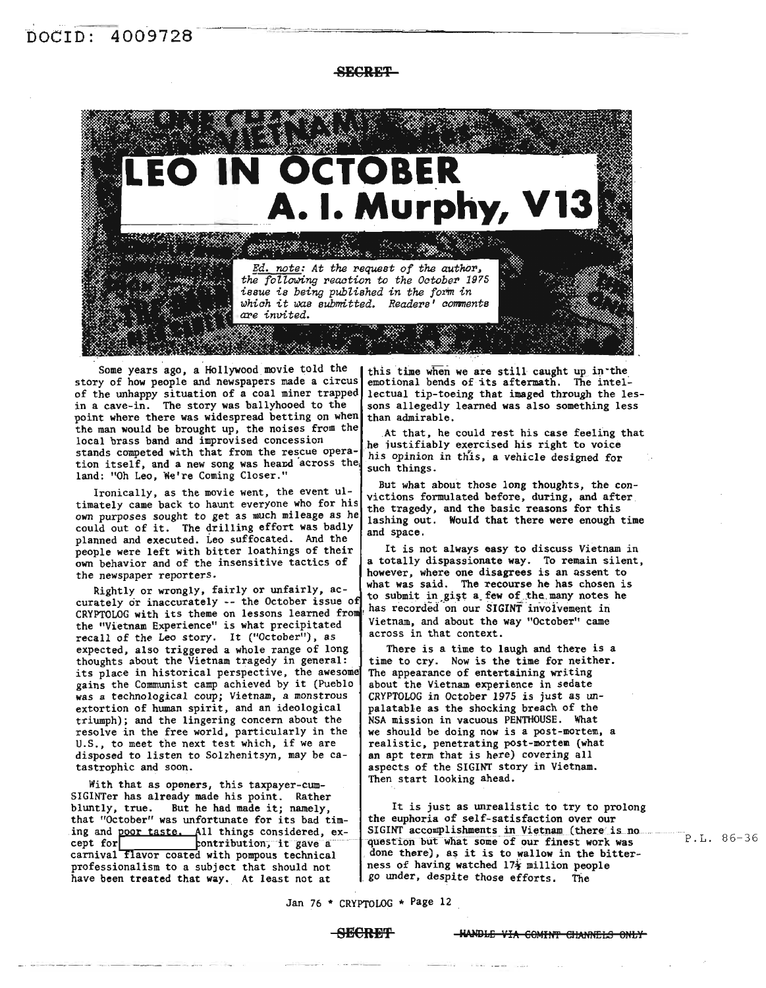**AECRET** 

![](_page_13_Picture_2.jpeg)

Some years ago, a Hollywood movie told the this time when we are still caught up in the y of how people and newspapers made a circus emotional bends of its aftermath. The intelstory of how people and newspapers made a circus of the unhappy situation of a coal miner trapped lectual tip-toeing that imaged through the lesin a cave-in. The story was ballyhooed to the  $\int$  sons allegedly learned was also something less point where there was widespread betting on when  $t$  than admirable. the man would be brought up, the noises from the  $\vert$  At that, he could rest his case feeling that local brass band and improvised concession ... he justifiably exercised his right to voice stands competed with that from the rescue opera-  $\frac{h}{h}$  his opinion in this, a vehicle designed for tion itself, and a new song was heard across the such things.<br>land: "Oh Leo, We're Coming Closer." such things.

timately came back to haunt everyone who for his the tragedy, and the basic reasons for this own purposes sought to get as much mileage as he lashing out. Would that there were enough time could out of it. The drilling effort was badly and space. planned and executed. Leo suffocated. And the people were left with bitter loathings of their | It is not always easy to discuss Vietnam in own behavior and of the insensitive tactics of  $\int$  a totally dispassionate way. To remain silent, the newspaper reporters. however, where one disagrees is an assent to

rightly or wrongly, laitly or unitality, ac-<br>curately or inaccurately -- the October issue of the manuscriptic contractions in the contraction Curately of inaccurately -- the october issue of has recorded on our SIGINT involvement in<br>CRYPTOLOG with its theme on lessons learned from Vietnam, and about the way "October" came the "Vietnam Experience" is what precipitated  $\begin{array}{c} \text{Vietnam, and about the} \\ \text{accol} \\ \text{accol} \\ \text{Shtm} \end{array}$ recall of the Leo story. It ("October"), as expected, also triggered a whole range of long | There is a time to laugh and there is a thoughts about the Vietnam tragedy in general: | time to cry. Now is the time for neither. its place in historical perspective, the awesome The appearance of entertaining writing gains the Communist camp achieved by it (Pueblo  $\vert$  about the Vietnam experience in sedate was a technological coup; Vietnam, a monstrous | CRYPTOLOG in October 1975 is just as unextortion of human spirit, and an ideological palatable as the shocking breach of the triumph); and the lingering concern about the  $\vert$  NSA mission in vacuous PENTHOUSE. What resolve in the free world, particularly in the  $\vert$  we should be doing now is a post-mortem U.S., to meet the next test which, if we are | realistic, penetrating post-mortem (what disposed to listen to Solzhenitsyn, may be ca- | an apt term that is here) covering all disposed to listen to Solzhenitsyn, may be catastrophic and soon.  $\qquad \qquad$  aspects of the SIGINT story in Vietnam.

With that as openers, this taxpayer-cum-<br>
Then start looking ahead. SIGINTer has already made his point. Rather<br>bluntly, true. But he had made it; namely, that "October" was unfortunate for its bad tim- the euphoria of self-satisfaction over our ing and poor taste. All things considered, except for contribution, it gave a carnival flavor coated with pompous technical | done there), as it is to wallow in the bitterprofessionalism to a subject that should not ness of having watched  $17\frac{1}{4}$  million people have been treated that way. At least not at  $80$  under, despite those efforts. The have been treated that way. At least not at

But what about those long thoughts, the con-Ironically, as the movie went, the event ul-<br>victions formulated before, during, and after

Examples reporters:<br>Rightly or wrongly, fairly or unfairly, ac-<br> $\begin{bmatrix} \text{what was said.} \text{The recourse he may notes he} \\ \text{the submit in just a few of the many notes he} \end{bmatrix}$ 

we should be doing now is a post-mortem, a

It is just as unrealistic to try to prolong SIGINT accomplishments in Vietnam (there is no question but what some of our finest work was

Jan 76 \* CRYPTOLOG \* Page 12

### **SHCRET IWDLE** VIA COMINT CHANGES ONLY

P. L. 86-36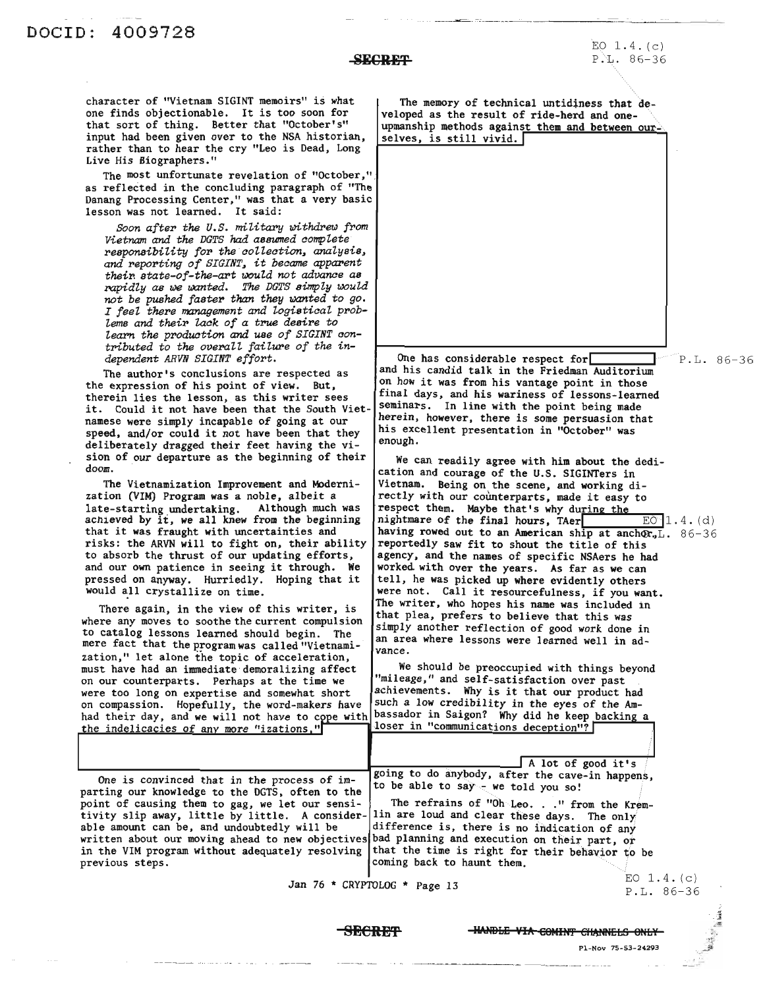## **SECRET-**

character of "Vietnam SIGINT memoirs" is what one finds objectionable. It is too soon for that sort of thing. Better that "October's" input had been given over to the NSA historian, rather than to hear the cry "Leo is Dead, Long Live His Biographers."

The most unfortunate revelation of "October,". as reflected in the concluding paragraph of "The Danang Processing Center," was that a very basic lesson was not learned. It said:

*Soon after the* U.S. military withdrew from *Vietnam* and *the DGTS had assumed complete responsibility for ths collection, analysis,* and reporting of SIGINT, it became apparent *their. state-of-the-art lJ()uZd not advanae as rapidly* as bJe *IJJClnted. The DGTS simply would not be pushed faster than thsy wanted to go. I feel thsre management and logistical problems and their lack of a true desire to learn the produation* and *use of SIGINT contributed to the overaZZ failure of the independent ARVN SIGINT effort.*

The author's conclusions are respected as the expression of his point of view. But, therein lies the lesson, as this writer sees it. Could it not have been that the South Vietnamese were simply incapable of going at our speed, and/or could it not have been that they deliberately dragged their feet having the vision of our departure as the beginning of their doom.

The Vietnamization Improvement and Modernization (VIM) Program was a noble, albeit a late-starting undertaking. Although much was achieved by it, we all knew from the beginning that it was fraught with uncertainties and risks: the ARVN will to fight on, their ability to absorb the thrust of our updating efforts, and our own patience in seeing it through. We pressed on anyway. Hurriedly. Hoping that it would all crystallize on time.

There again, in the view of this writer, is where any moves to soothe the current compulsion to catalog lessons learned should begin. The mere fact that the program was called "Vietnamization," let alone the topic of acceleration, must have had an immediate demoralizing affect on our counterparts. Perhaps at the time we were too long on expertise and somewhat short on compassion. Hopefully, the word-makers have had their day, and we will not have to cope with the indelicacies of any more "izations,"

The memory of technical untidiness that developed as the result of ride-herd and oneupmanship methods against them and between ourselves, is still vivid. **<sup>I</sup>**

One has considerable respect for P.L. 86-36 and his candid talk in the Friedman Auditorium on how it was from his vantage point in those final days, and his wariness of lessons-learned seminars. In line with the point being made herein, however, there is some persuasion that his excellent presentation in "October" was enough.

We can readily agree with him about the dedication and courage of the U.S. SIGINTers in Vietnam. Being on the scene, and working directly with our counterparts, made it easy to respect them. Maybe that's why during the nightmare of the final hours, TAer $\Box$  EO 1.4. (d) having rowed out to an American ship at anchor.<sup>L</sup>. 86-36 reportedly saw fit to shout the title of this agency, and the names of specific NSAers he had worked with over the years. As far as we can tell, he was picked up where evidently others were not. Call it resourcefulness, if you want. The writer, who hopes his name was included in that plea, prefers to believe that this was simply another reflection of good work done in an area where lessons were learned well in advance.

We should be preoccupied with things beyond "mileage," and self-satisfaction over past achievements. Why is it that our product had such a low credibility in the eyes of the Ambassador in Saigon? Why did he keep backing a loser in "communications deception"?

be is convinced that in the process of  $I_{m-1}$ <br>parting our knowledge to the DGTS, often to the to be able to say - we told you so!<br>point of causing them to gag, we let our sensi-<br>The refrains of "Oh Leo..." from the Krem point of causing them to gag, we let our sensi- The refrains of "Oh Leo. . ." from the Krem-<br>tivity slip away, little by little. A consider- lin are loud and clear these days. The only able amount can be, and undoubtedly will be |difference is, there is no indication of any written about our moving ahead to new objectives bad planning and execution on their part, or<br>in the VIM program without adequately resolving that the time is right for their behavior to

<sup>A</sup> lot of good it's One is convinced that in the process of im-<br>the sum happens,  $\begin{bmatrix} \text{going to do anybody, after the cave-in happens,} \\ \text{to be able to say - we told you so!} \end{bmatrix}$ 

in the VIM program without adequately resolving that the time is right for their behavior to be previous steps. coming back to haunt them.

Jan 76 \* CRYPTOLOG \* Page 13

EO  $1.4. (c)$ P.L. 86-36

**SECRET** -HANDLE VIA COMINT CHANNELS ONLY

Pi-NoY 75-53-24293